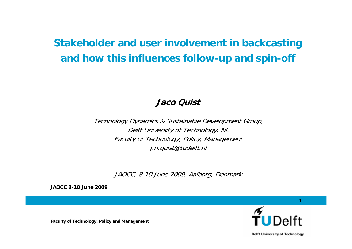#### **Stakeholder and user involvement in backcasting and how this influences follow-up and spin-off**

#### **Jaco Quist**

Technology Dynamics & Sustainable Development Group, Delft University of Technology, NL Faculty of Technology, Policy, Management j.n.quist@tudelft.nl

JAOCC, 8-10 June 2009, Aalborg, Denmark

**JAOCC 8-10 June 2009**

elft)

1

**Faculty of Technology, Policy and Management**

**Delft University of Technology**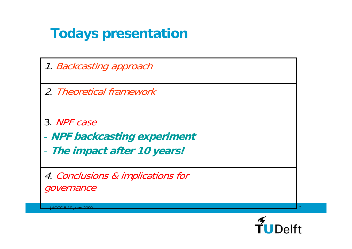## **Todays presentation**

| 2. Theoretical framework<br>3. NPF case<br>- NPF backcasting experiment<br>- The impact after 10 years!<br>4. Conclusions & implications for<br>governance | 1. Backcasting approach |  |
|------------------------------------------------------------------------------------------------------------------------------------------------------------|-------------------------|--|
|                                                                                                                                                            |                         |  |
|                                                                                                                                                            |                         |  |
|                                                                                                                                                            |                         |  |

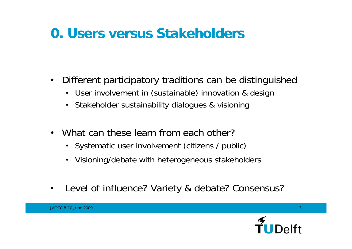### **0. Users versus Stakeholders**

- Different participatory traditions can be distinguished
	- User involvement in (sustainable) innovation & design
	- Stakeholder sustainability dialogues & visioning
- What can these learn from each other?
	- Systematic user involvement (citizens / public)
	- Visioning/debate with heterogeneous stakeholders
- Level of influence? Variety & debate? Consensus?

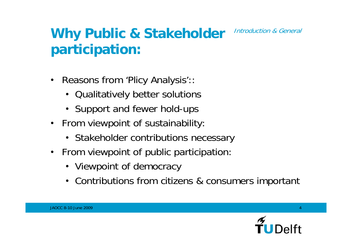Introduction & General

## **Why Public & Stakeholder participation:**

- Reasons from 'Plicy Analysis'::
	- Qualitatively better solutions
	- Support and fewer hold-ups
- From viewpoint of sustainability:
	- Stakeholder contributions necessary
- From viewpoint of public participation:
	- Viewpoint of democracy
	- Contributions from citizens & consumers important

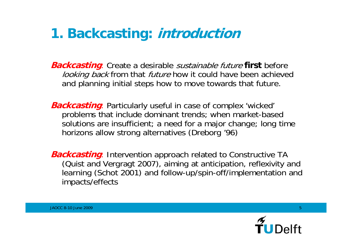### **1. Backcasting: introduction**

**Backcasting**: Create a desirable sustainable future **first** before looking back from that future how it could have been achieved and planning initial steps how to move towards that future.

**Backcasting:** Particularly useful in case of complex 'wicked' problems that include dominant trends; when market-based solutions are insufficient; a need for a major change; long time horizons allow strong alternatives (Dreborg '96)

**Backcasting:** Intervention approach related to Constructive TA (Quist and Vergragt 2007), aiming at anticipation, reflexivity and learning (Schot 2001) and follow-up/spin-off/implementation and impacts/effects

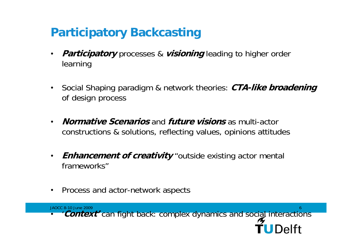#### **Participatory Backcasting**

- **Participatory** processes & **visioning** leading to higher order learning
- Social Shaping paradigm & network theories: **CTA-like broadening**  of design process
- **Normative Scenarios** and **future visions** as multi-actor constructions & solutions, reflecting values, opinions attitudes
- **Enhancement of creativity** "outside existing actor mental frameworks"
- Process and actor-network aspects

JAOCC 8-10 June 2009

e en 1980 en 1980 en 1980 en 1980 en 1980 en 1980 en 1980 en 1980 en 1980 en 1980 en 1980 en 1980 en 1980 en 1 • '**Context'** can fight back: complex dynamics and social interactions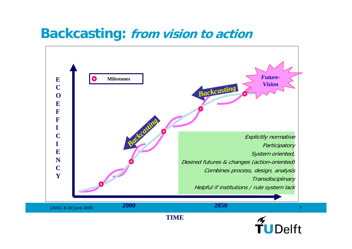#### **Backcasting: from vision to action**

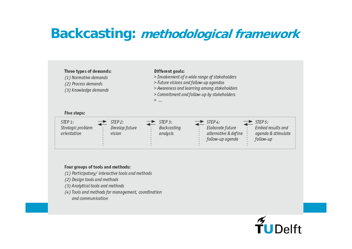#### **Backcasting: methodological framework**



#### Four groups of tools and methods:

- (1) Participatory/ interactive tools and methods
- (2) Design tools and methods
- (3) Analytical tools and methods
- (4) Tools and methods for management, coordination and communication

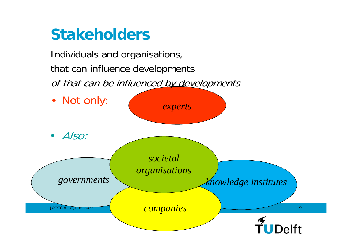# **Stakeholders**

JAOCC 8-10 June 2009 9 *companiessocietal organisations* Individuals and organisations, that can influence developments of that can be influenced by developments • Not only: • Also:*experts governments knowledge institutes*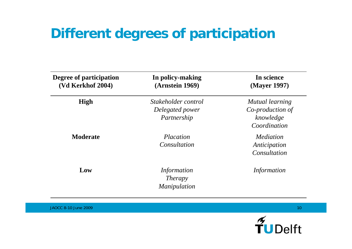### **Different degrees of participation**

| Degree of participation<br>(Vd Kerkhof 2004) | In policy-making<br>(Arnstein 1969) | In science<br>(Mayer 1997) |
|----------------------------------------------|-------------------------------------|----------------------------|
| <b>High</b>                                  | Stakeholder control                 | Mutual learning            |
|                                              | Delegated power                     | Co-production of           |
|                                              | Partnership                         | knowledge                  |
|                                              |                                     | Coordination               |
| <b>Moderate</b>                              | Placation                           | <i>Mediation</i>           |
|                                              | Consultation                        | Anticipation               |
|                                              |                                     | Consultation               |
| Low                                          | Information                         | Information                |
|                                              | <i>Therapy</i>                      |                            |
|                                              | <i>Manipulation</i>                 |                            |

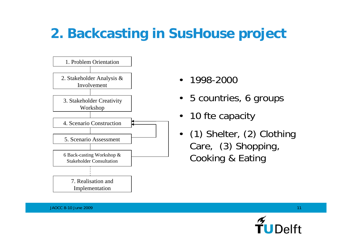# **2. Backcasting in SusHouse project**



- 1998-2000
- 5 countries, 6 groups
- 10 fte capacity
- (1) Shelter, (2) Clothing Care, (3) Shopping, Cooking & Eating

JAOCC 8-10 June 2009

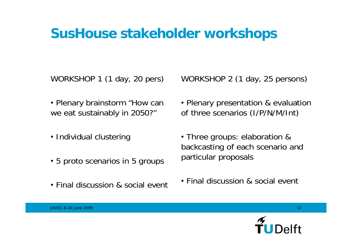### **SusHouse stakeholder workshops**

WORKSHOP 1 (1 day, 20 pers)

- Plenary brainstorm "How can we eat sustainably in 2050?"
- Individual clustering
- 5 proto scenarios in 5 groups
- Final discussion & social event

WORKSHOP 2 (1 day, 25 persons)

- Plenary presentation & evaluation of three scenarios (I/P/N/M/Int)
- Three groups: elaboration & backcasting of each scenario and particular proposals
- Final discussion & social event

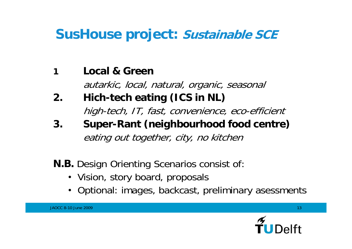#### **SusHouse project: Sustainable SCE**

#### **1 Local & Green**

autarkic, local, natural, organic, seasonal

- **2. Hich-tech eating (ICS in NL)** high-tech, IT, fast, convenience, eco-efficient
- **3. Super-Rant (neighbourhood food centre)** eating out together, city, no kitchen

#### **N.B.** Design Orienting Scenarios consist of:

- Vision, story board, proposals
- Optional: images, backcast, preliminary asessments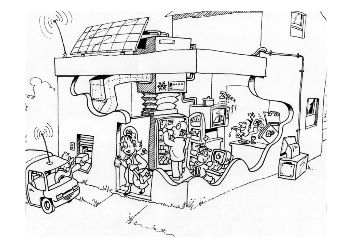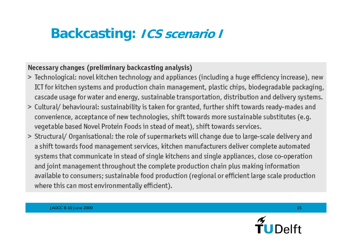### **Backcasting: ICS scenario I**

#### Necessary changes (preliminary backcasting analysis)

- > Technological: novel kitchen technology and appliances (including a huge efficiency increase), new ICT for kitchen systems and production chain management, plastic chips, biodegradable packaging, cascade usage for water and energy, sustainable transportation, distribution and delivery systems.
- > Cultural/ behavioural: sustainability is taken for granted, further shift towards ready-mades and convenience, acceptance of new technologies, shift towards more sustainable substitutes (e.g. vegetable based Novel Protein Foods in stead of meat), shift towards services.
- > Structural/ Organisational: the role of supermarkets will change due to large-scale delivery and a shift towards food management services, kitchen manufacturers deliver complete automated systems that communicate in stead of single kitchens and single appliances, close co-operation and joint management throughout the complete production chain plus making information available to consumers; sustainable food production (regional or efficient large scale production where this can most environmentally efficient).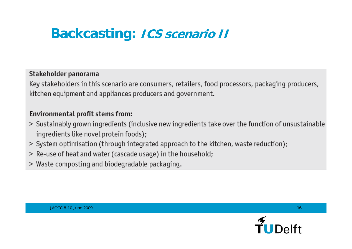## **Backcasting: ICS scenario II**

#### Stakeholder panorama

Key stakeholders in this scenario are consumers, retailers, food processors, packaging producers, kitchen equipment and appliances producers and government.

#### Environmental profit stems from:

- Sustainably grown ingredients (inclusive new ingredients take over the function of unsustainable > ingredients like novel protein foods);
- > System optimisation (through integrated approach to the kitchen, waste reduction);
- > Re-use of heat and water (cascade usage) in the household;
- > Waste composting and biodegradable packaging.

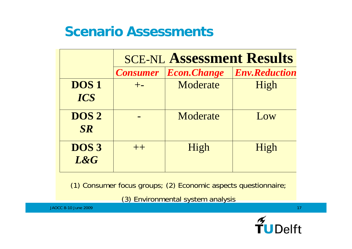#### **Scenario Assessments**

|                  | <b>SCE-NL Assessment Results</b> |                    |                      |  |
|------------------|----------------------------------|--------------------|----------------------|--|
|                  | <b>Consumer</b>                  | <b>Econ.Change</b> | <b>Env.Reduction</b> |  |
| DOS <sub>1</sub> |                                  | Moderate           | High                 |  |
| <b>ICS</b>       |                                  |                    |                      |  |
| DOS <sub>2</sub> |                                  | Moderate           | Low                  |  |
| SR               |                                  |                    |                      |  |
| DOS <sub>3</sub> | $++$                             | High               | High                 |  |
| L&G              |                                  |                    |                      |  |

(1) Consumer focus groups; (2) Economic aspects questionnaire;

(3) Environmental system analysis

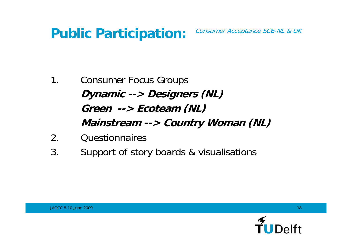### **Public Participation:**

- 1. Consumer Focus Groups **Dynamic --> Designers (NL) Green --> Ecoteam (NL) Mainstream --> Country Woman (NL)**
- 2. Questionnaires
- 3. Support of story boards & visualisations

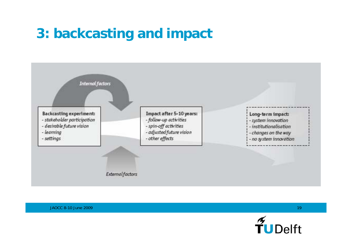### **3: backcasting and impact**



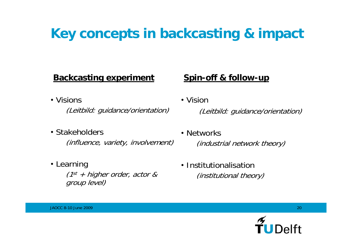## **Key concepts in backcasting & impact**

#### **Backcasting experiment**

- Visions(Leitbild: guidance/orientation)
- Stakeholders(influence, variety, involvement)
- Learning  $(1^{st}$  + higher order, actor & group level)

#### **Spin-off & follow-up**

- Vision(Leitbild: guidance/orientation)
- Networks(industrial network theory)
- Institutionalisation(institutional theory)

e e se a construír a construír a construír a construír a construír a construír a construír a construír a 20 de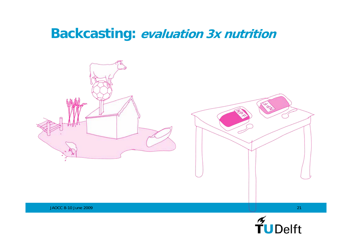#### **Backcasting: evaluation 3x nutrition**





JAOCC 8-10 June 2009



e en 1990 en 1990 en 1990 en 1990 en 1990 en 1990 en 1990 en 1990 en 1990 en 1990 en 1990 en 1990 en 1990 en 1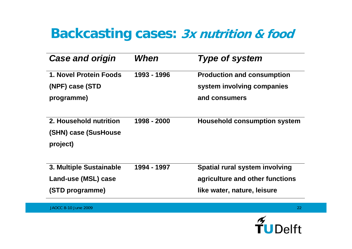#### **Backcasting cases: 3x nutrition & food**

| <b>Case and origin</b>                                            | When        | <b>Type of system</b>                                                                            |
|-------------------------------------------------------------------|-------------|--------------------------------------------------------------------------------------------------|
| 1. Novel Protein Foods<br>(NPF) case (STD)<br>programme)          | 1993 - 1996 | <b>Production and consumption</b><br>system involving companies<br>and consumers                 |
| 2. Household nutrition<br>(SHN) case (SusHouse<br>project)        | 1998 - 2000 | <b>Household consumption system</b>                                                              |
| 3. Multiple Sustainable<br>Land-use (MSL) case<br>(STD programme) | 1994 - 1997 | Spatial rural system involving<br>agriculture and other functions<br>like water, nature, leisure |

JAOCC 8-10 June 2009

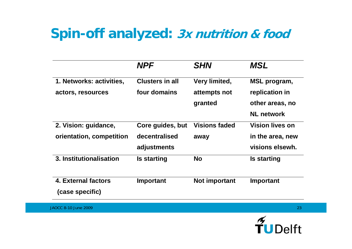### **Spin-off analyzed: 3x nutrition & food**

|                                                  | <b>NPF</b>                                       | <b>SHN</b>                               | <b>MSL</b>                                                             |
|--------------------------------------------------|--------------------------------------------------|------------------------------------------|------------------------------------------------------------------------|
| 1. Networks: activities,<br>actors, resources    | <b>Clusters in all</b><br>four domains           | Very limited,<br>attempts not<br>granted | MSL program,<br>replication in<br>other areas, no<br><b>NL</b> network |
| 2. Vision: guidance,<br>orientation, competition | Core guides, but<br>decentralised<br>adjustments | <b>Visions faded</b><br>away             | <b>Vision lives on</b><br>in the area, new<br>visions elsewh.          |
| 3. Institutionalisation                          | <b>Is starting</b>                               | <b>No</b>                                | <b>Is starting</b>                                                     |
| 4. External factors<br>(case specific)           | Important                                        | Not important                            | Important                                                              |

JAOCC 8-10 June 20099 aastal 1980 ka ja 1980 ka ja 1980 ka ja 1980 ka ja 1980 ka ja 1980 ka ja 1980 ka ja 1980 ka ja 1980 ka 1980

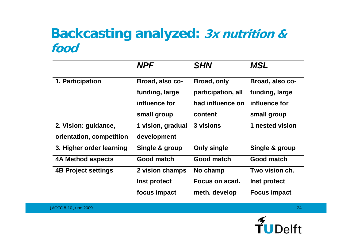#### **Backcasting analyzed: 3x nutrition & food**

|                            | <b>NPF</b>        | <b>SHN</b>         | <b>MSL</b>          |
|----------------------------|-------------------|--------------------|---------------------|
| 1. Participation           | Broad, also co-   | Broad, only        | Broad, also co-     |
|                            | funding, large    | participation, all | funding, large      |
|                            | influence for     | had influence on   | influence for       |
|                            | small group       | content            | small group         |
| 2. Vision: guidance,       | 1 vision, gradual | 3 visions          | 1 nested vision     |
| orientation, competition   | development       |                    |                     |
| 3. Higher order learning   | Single & group    | <b>Only single</b> | Single & group      |
| <b>4A Method aspects</b>   | <b>Good match</b> | Good match         | <b>Good match</b>   |
| <b>4B Project settings</b> | 2 vision champs   | No champ           | Two vision ch.      |
|                            | Inst protect      | Focus on acad.     | Inst protect        |
|                            | focus impact      | meth. develop      | <b>Focus impact</b> |

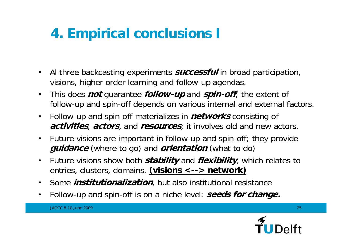## **4. Empirical conclusions I**

- Al three backcasting experiments **successful** in broad participation, visions, higher order learning and follow-up agendas.
- This does **not** guarantee **follow-up** and **spin-off**; the extent of follow-up and spin-off depends on various internal and external factors.
- Follow-up and spin-off materializes in **networks** consisting of **activities**, **actors**, and **resources**; it involves old and new actors.
- Future visions are important in follow-up and spin-off; they provide **guidance** (where to go) and **orientation** (what to do)
- Future visions show both **stability** and **flexibility**, which relates to entries, clusters, domains. **(visions <--> network)**
- Some **institutionalization**, but also institutional resistance
- Follow-up and spin-off is on a niche level: **seeds for change.**

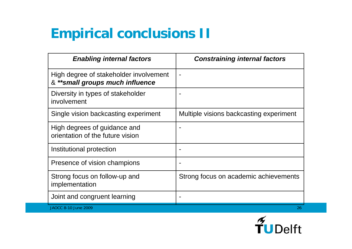## **Empirical conclusions II**

| <b>Enabling internal factors</b>                                          | <b>Constraining internal factors</b>    |
|---------------------------------------------------------------------------|-----------------------------------------|
| High degree of stakeholder involvement<br>& **small groups much influence | $\blacksquare$                          |
| Diversity in types of stakeholder<br>involvement                          |                                         |
| Single vision backcasting experiment                                      | Multiple visions backcasting experiment |
| High degrees of guidance and<br>orientation of the future vision          |                                         |
| Institutional protection                                                  | ٠                                       |
| Presence of vision champions                                              | ٠                                       |
| Strong focus on follow-up and<br>implementation                           | Strong focus on academic achievements   |
| Joint and congruent learning                                              | ۰                                       |
| <b>JAOCC 8-10 June 2009</b>                                               | 26                                      |

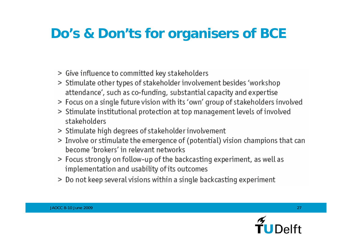### **Do's & Don'ts for organisers of BCE**

- > Give influence to committed key stakeholders
- > Stimulate other types of stakeholder involvement besides 'workshop attendance', such as co-funding, substantial capacity and expertise
- > Focus on a single future vision with its 'own' group of stakeholders involved
- > Stimulate institutional protection at top management levels of involved stakeholders
- > Stimulate high degrees of stakeholder involvement
- > Involve or stimulate the emergence of (potential) vision champions that can become 'brokers' in relevant networks
- > Focus strongly on follow-up of the backcasting experiment, as well as implementation and usability of its outcomes
- > Do not keep several visions within a single backcasting experiment

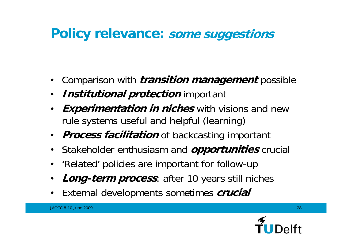#### **Policy relevance: some suggestions**

- Comparison with **transition management** possible
- **Institutional protection** important
- **Experimentation in niches** with visions and new rule systems useful and helpful (learning)
- **Process facilitation** of backcasting important
- Stakeholder enthusiasm and **opportunities** crucial
- 'Related' policies are important for follow-up
- **Long-term process**: after 10 years still niches
- External developments sometimes **crucial**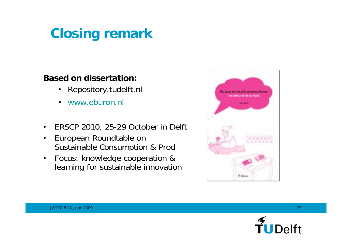## **Closing remark**

#### **Based on dissertation:**

- Repository.tudelft.nl
- [www.eburon.nl](http://www.eburon.nl/)
- ERSCP 2010, 25-29 October in Delft
- European Roundtable on Sustainable Consumption & Prod
- Focus: knowledge cooperation & learning for sustainable innovation



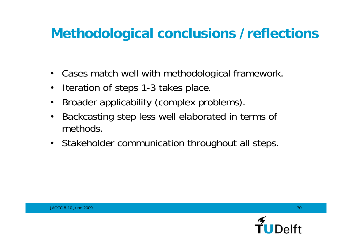#### **Methodological conclusions /reflections**

- Cases match well with methodological framework.
- Iteration of steps 1-3 takes place.
- Broader applicability (complex problems).
- Backcasting step less well elaborated in terms of methods.
- Stakeholder communication throughout all steps.

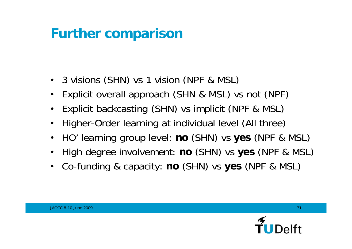### **Further comparison**

- 3 visions (SHN) vs 1 vision (NPF & MSL)
- Explicit overall approach (SHN & MSL) vs not (NPF)
- Explicit backcasting (SHN) vs implicit (NPF & MSL)
- Higher-Order learning at individual level (All three)
- HO' learning group level: **no** (SHN) vs **yes** (NPF & MSL)
- High degree involvement: **no** (SHN) vs **yes** (NPF & MSL)
- Co-funding & capacity: **no** (SHN) vs **yes** (NPF & MSL)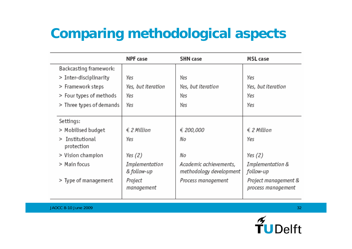## **Comparing methodological aspects**

|                                       | NPF case                      | <b>SHN</b> case                                   | MSL case                                   |
|---------------------------------------|-------------------------------|---------------------------------------------------|--------------------------------------------|
| Backcasting framework:                |                               |                                                   |                                            |
| > Inter-disciplinarity                | Yes                           | Yes                                               | Yes                                        |
| > Framework steps                     | Yes, but iteration            | Yes, but iteration                                | Yes, but iteration                         |
| > Four types of methods               | Yes                           | Yes                                               | Yes                                        |
| > Three types of demands              | Yes                           | Yes                                               | Yes                                        |
|                                       |                               |                                                   |                                            |
| Settings:                             |                               |                                                   |                                            |
| > Mobilised budget                    | € 2 Million                   | € 200,000                                         | $\epsilon$ 2 Million                       |
| Institutional<br>$\geq$<br>protection | Yes                           | Nο                                                | Yes                                        |
| > Vision champion                     | Yes (2)                       | Nο                                                | Yes (2)                                    |
| > Main focus                          | Implementation<br>& follow-up | Academic achievements,<br>methodology development | Implementation &<br>follow-up              |
| > Type of management                  | Project<br>management         | Process management                                | Project management &<br>process management |

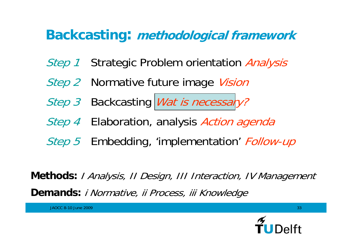#### **Backcasting: methodological framework**

- Step 1 Strategic Problem orientation Analysis
- Step 2 Normative future image Vision
- Step 3 Backcasting Wat is necessary?
- Step 4 Elaboration, analysis Action agenda
- Step 5 Embedding, 'implementation' Follow-up

**Methods:** I Analysis, II Design, III Interaction, IV Management Demands: *i Normative, ii Process, iii Knowledge* 

JAOCC 8-10 June 200933

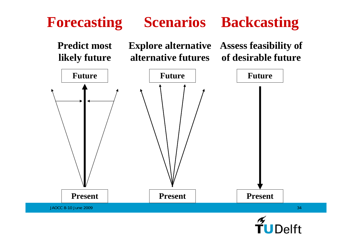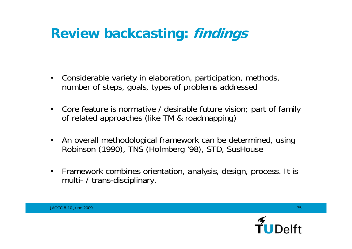## **Review backcasting: findings**

- Considerable variety in elaboration, participation, methods, number of steps, goals, types of problems addressed
- Core feature is normative / desirable future vision; part of family of related approaches (like TM & roadmapping)
- An overall methodological framework can be determined, using Robinson (1990), TNS (Holmberg '98), STD, SusHouse
- Framework combines orientation, analysis, design, process. It is multi- / trans-disciplinary.



JAOCC 8-10 June 20099 and 2014 and 2014 and 2014 and 2014 and 2014 and 2014 and 2014 and 2014 and 2014 and 2014 and 2014 and